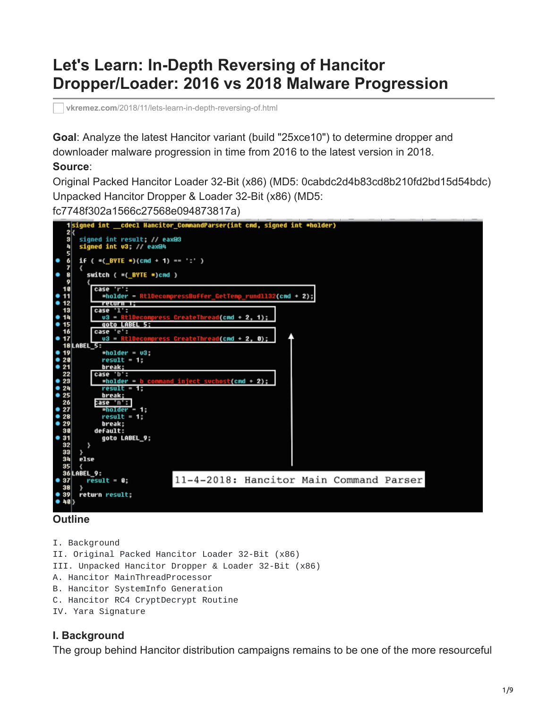# **Let's Learn: In-Depth Reversing of Hancitor Dropper/Loader: 2016 vs 2018 Malware Progression**

**vkremez.com**[/2018/11/lets-learn-in-depth-reversing-of.html](https://www.vkremez.com/2018/11/lets-learn-in-depth-reversing-of.html)

**Goal**: Analyze the latest Hancitor variant (build "25xce10") to determine dropper and downloader malware progression in time from 2016 to the latest version in 2018.

#### **Source**:

Original Packed Hancitor Loader 32-Bit (x86) (MD5: 0cabdc2d4b83cd8b210fd2bd15d54bdc) Unpacked Hancitor Dropper & Loader 32-Bit (x86) (MD5:

fc7748f302a1566c27568e094873817a)



### **Outline**

I. Background

II. Original Packed Hancitor Loader 32-Bit (x86)

III. Unpacked Hancitor Dropper & Loader 32-Bit (x86)

- A. Hancitor MainThreadProcessor
- B. Hancitor SystemInfo Generation
- C. Hancitor RC4 CryptDecrypt Routine

IV. Yara Signature

# **I. Background**

The group behind Hancitor distribution campaigns remains to be one of the more resourceful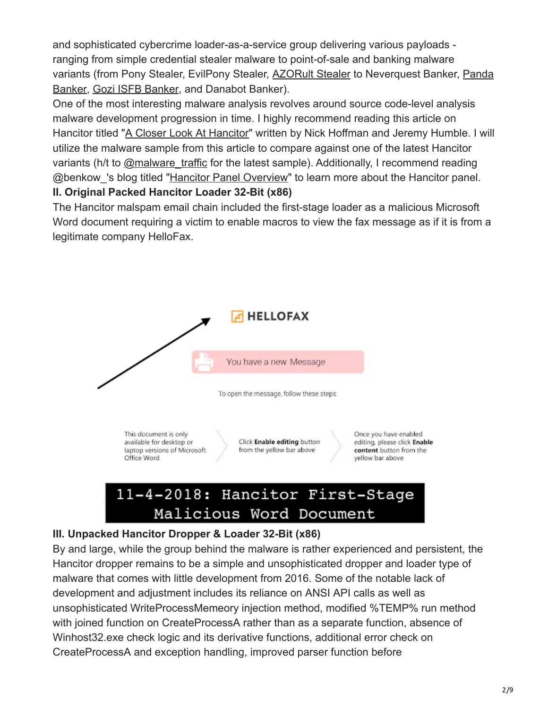and sophisticated cybercrime loader-as-a-service group delivering various payloads ranging from simple credential stealer malware to point-of-sale and banking malware [variants \(from Pony Stealer, EvilPony Stealer, AZORult Stealer to Neverquest Banker, Panda](https://www.vkremez.com/2018/08/lets-learn-dissecting-panda-banker.html) Banker, [Gozi ISFB Banker,](https://www.vkremez.com/2018/08/lets-learn-in-depth-reversing-of-recent.html) and Danabot Banker).

One of the most interesting malware analysis revolves around source code-level analysis malware development progression in time. I highly recommend reading this article on Hancitor titled "[A Closer Look At Hancitor](https://boozallenmts.com/resources/news/closer-look-hancitor)" written by Nick Hoffman and Jeremy Humble. I will utilize the malware sample from this article to compare against one of the latest Hancitor variants (h/t to [@malware\\_traffic](https://twitter.com/malware_traffic) for the latest sample). Additionally, I recommend reading @benkow\_'s blog titled "[Hancitor Panel Overview"](https://benkowlab.blogspot.com/2017/03/hancitor-panel-overview.html) to learn more about the Hancitor panel. **II. Original Packed Hancitor Loader 32-Bit (x86)**

The Hancitor malspam email chain included the first-stage loader as a malicious Microsoft Word document requiring a victim to enable macros to view the fax message as if it is from a legitimate company HelloFax.



# 11-4-2018: Hancitor First-Stage Malicious Word Document

## **III. Unpacked Hancitor Dropper & Loader 32-Bit (x86)**

By and large, while the group behind the malware is rather experienced and persistent, the Hancitor dropper remains to be a simple and unsophisticated dropper and loader type of malware that comes with little development from 2016. Some of the notable lack of development and adjustment includes its reliance on ANSI API calls as well as unsophisticated WriteProcessMemeory injection method, modified %TEMP% run method with joined function on CreateProcessA rather than as a separate function, absence of Winhost32.exe check logic and its derivative functions, additional error check on CreateProcessA and exception handling, improved parser function before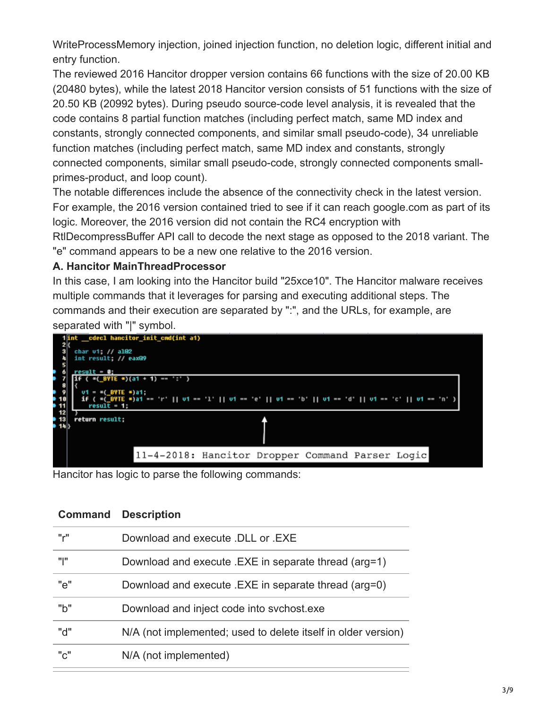WriteProcessMemory injection, joined injection function, no deletion logic, different initial and entry function.

The reviewed 2016 Hancitor dropper version contains 66 functions with the size of 20.00 KB (20480 bytes), while the latest 2018 Hancitor version consists of 51 functions with the size of 20.50 KB (20992 bytes). During pseudo source-code level analysis, it is revealed that the code contains 8 partial function matches (including perfect match, same MD index and constants, strongly connected components, and similar small pseudo-code), 34 unreliable function matches (including perfect match, same MD index and constants, strongly connected components, similar small pseudo-code, strongly connected components smallprimes-product, and loop count).

The notable differences include the absence of the connectivity check in the latest version. For example, the 2016 version contained tried to see if it can reach google.com as part of its logic. Moreover, the 2016 version did not contain the RC4 encryption with RtlDecompressBuffer API call to decode the next stage as opposed to the 2018 variant. The

"e" command appears to be a new one relative to the 2016 version.

### **A. Hancitor MainThreadProcessor**

In this case, I am looking into the Hancitor build "25xce10". The Hancitor malware receives multiple commands that it leverages for parsing and executing additional steps. The commands and their execution are separated by ":", and the URLs, for example, are separated with "|" symbol.



Hancitor has logic to parse the following commands:

### **Command Description**

| "r"     | Download and execute .DLL or .EXE                             |
|---------|---------------------------------------------------------------|
| արա     | Download and execute .EXE in separate thread (arg=1)          |
| "e"     | Download and execute .EXE in separate thread (arg=0)          |
| " $b$ " | Download and inject code into sychost.exe                     |
| "ሰ"     | N/A (not implemented; used to delete itself in older version) |
| "c"     | N/A (not implemented)                                         |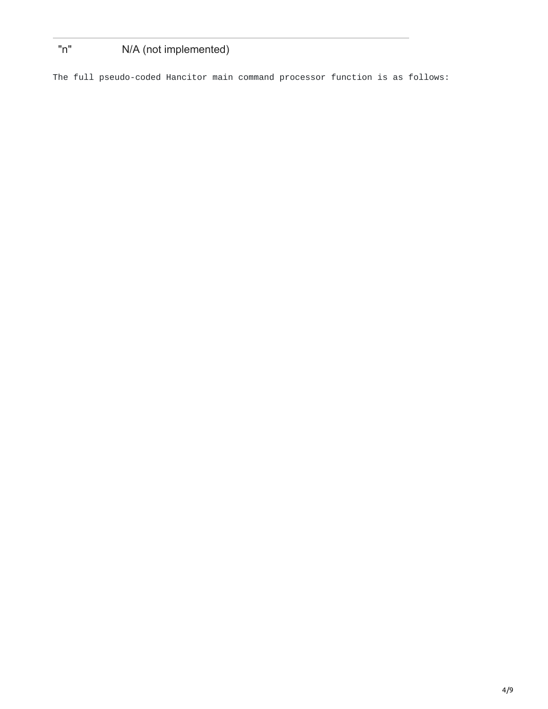# "n" N/A (not implemented)

The full pseudo-coded Hancitor main command processor function is as follows: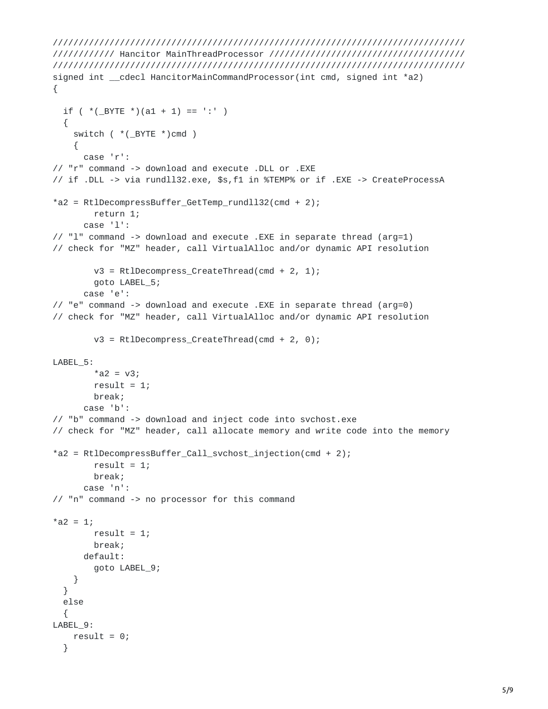```
////////////////////////////////////////////////////////////////////////////////
//////////// Hancitor MainThreadProcessor //////////////////////////////////////
////////////////////////////////////////////////////////////////////////////////
signed int __cdecl HancitorMainCommandProcessor(int cmd, signed int *a2)
{
 if (* (_BYTE *)(a1 + 1) == ':' )
  {
    switch ( *(_BYTE *)cmd )
    {
     case 'r':
// "r" command -> download and execute .DLL or .EXE
// if .DLL -> via rundll32.exe, $s,f1 in %TEMP% or if .EXE -> CreateProcessA
*a2 = RtlDecompressBuffer_GetTemp_rundll32(cmd + 2);
        return 1;
      case 'l':
// "l" command -> download and execute .EXE in separate thread (arg=1)
// check for "MZ" header, call VirtualAlloc and/or dynamic API resolution
        v3 = Rt1Decompress_CreaterThread(cmd + 2, 1);goto LABEL_5;
      case 'e':
// "e" command -> download and execute .EXE in separate thread (arg=0)
// check for "MZ" header, call VirtualAlloc and/or dynamic API resolution
        v3 = RtlDecompress_CreateThread(cmd + 2, 0);
LABEL_5:
        *a2 = v3;result = 1;
        break;
      case 'b':
// "b" command -> download and inject code into svchost.exe
// check for "MZ" header, call allocate memory and write code into the memory
*a2 = RtlDecompressBuffer_Call_svchost_injection(cmd + 2);
        result = 1;
        break;
      case 'n':
// "n" command -> no processor for this command
*a2 = 1;result = 1;
        break;
      default:
        goto LABEL_9;
    }
  }
 else
  {
LABEL_9:
   result = 0;
  }
```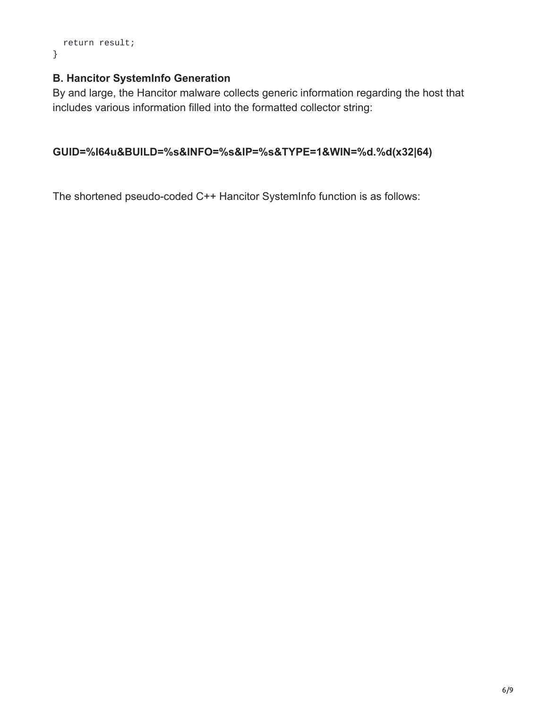```
return result;
}
```
## **B. Hancitor SystemInfo Generation**

By and large, the Hancitor malware collects generic information regarding the host that includes various information filled into the formatted collector string:

### **GUID=%I64u&BUILD=%s&INFO=%s&IP=%s&TYPE=1&WIN=%d.%d(x32|64)**

The shortened pseudo-coded C++ Hancitor SystemInfo function is as follows: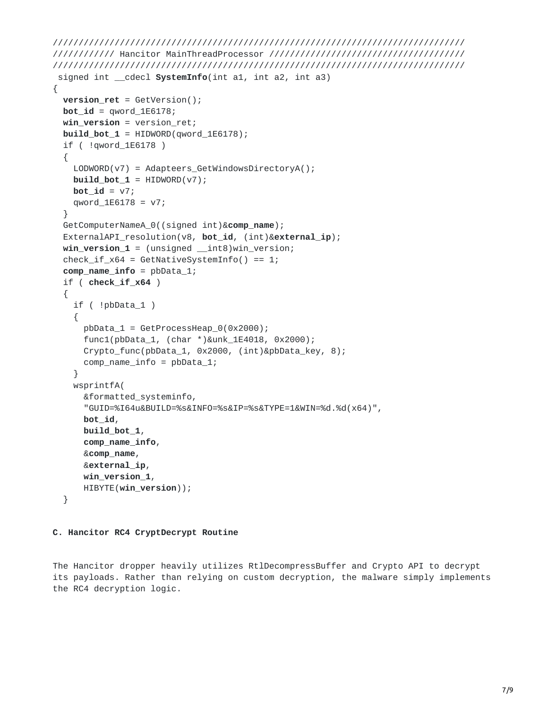```
////////////////////////////////////////////////////////////////////////////////
//////////// Hancitor MainThreadProcessor //////////////////////////////////////
////////////////////////////////////////////////////////////////////////////////
signed int __cdecl SystemInfo(int a1, int a2, int a3)
{
 version_ret = GetVersion();
 bot_id = qword_1E6178;win_version = version_ret;
 build_bot_1 = HIDWORD(qword_1E6178);if ( !qword_1E6178 )
 {
    LODWORD(v7) = Adapteers_GetWindowsDirectoryA();
   build_bot_1 = HIDWORD(v7);bot_id = v7;qword_1E6178 = v7;
 }
 GetComputerNameA_0((signed int)&comp_name);
 ExternalAPI_resolution(v8, bot_id, (int)&external_ip);
 win_version_1 = (unsigned __int8)win_version;
 check_i f_x64 = GetNativeSystemInfo() == 1;
 comp_name_info = pbData_1;
 if ( check_if_x64 )
  {
   if ( !pbData_1 )
    {
      pbData_1 = GetProcessHeap_0(0x2000);func1(pbData_1, (char *)&unk_1E4018, 0x2000);
      Crypto_func(pbData_1, 0x2000, (int)&pbData_key, 8);
      comp_name_info = pbData_1;
    }
   wsprintfA(
      &formatted_systeminfo,
      "GUID=%I64u&BUILD=%s&INFO=%s&IP=%s&TYPE=1&WIN=%d.%d(x64)",
      bot_id,
      build_bot_1,
      comp_name_info,
      &comp_name,
     &external_ip,
     win_version_1,
     HIBYTE(win_version));
 }
```
#### **C. Hancitor RC4 CryptDecrypt Routine**

The Hancitor dropper heavily utilizes RtlDecompressBuffer and Crypto API to decrypt its payloads. Rather than relying on custom decryption, the malware simply implements the RC4 decryption logic.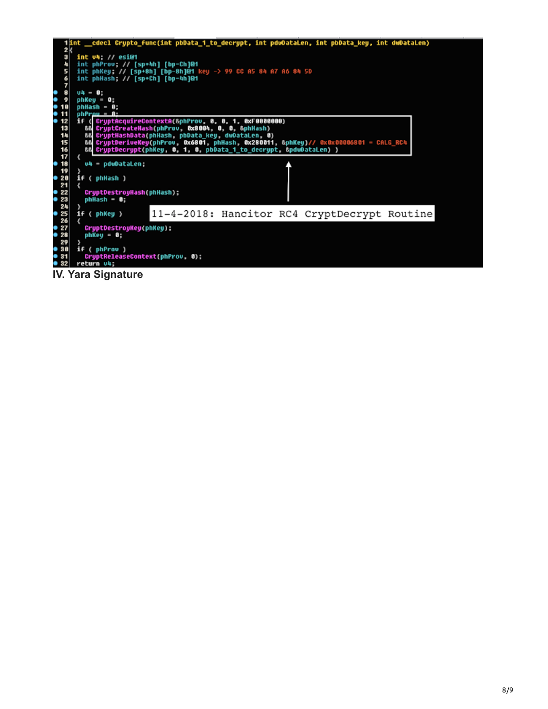